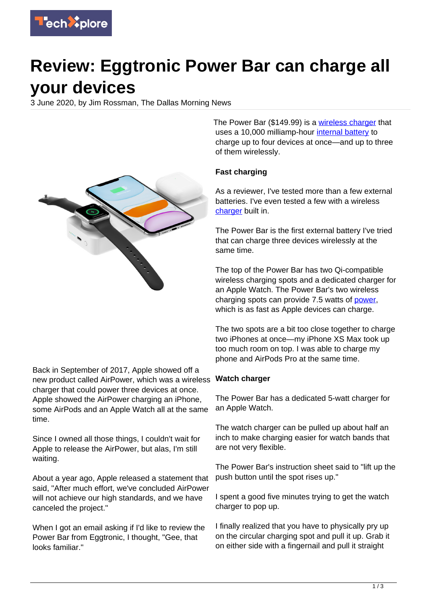

# **Review: Eggtronic Power Bar can charge all your devices**

3 June 2020, by Jim Rossman, The Dallas Morning News



Back in September of 2017, Apple showed off a new product called AirPower, which was a wireless charger that could power three devices at once. Apple showed the AirPower charging an iPhone, some AirPods and an Apple Watch all at the same time.

Since I owned all those things, I couldn't wait for Apple to release the AirPower, but alas, I'm still waiting.

About a year ago, Apple released a statement that said, "After much effort, we've concluded AirPower will not achieve our high standards, and we have canceled the project."

When I got an email asking if I'd like to review the Power Bar from Eggtronic, I thought, "Gee, that looks familiar."

The Power Bar (\$149.99) is a [wireless charger](https://techxplore.com/tags/wireless+charger/) that uses a 10,000 milliamp-hour [internal battery](https://techxplore.com/tags/internal+battery/) to charge up to four devices at once—and up to three of them wirelessly.

#### **Fast charging**

As a reviewer, I've tested more than a few external batteries. I've even tested a few with a wireless [charger](https://techxplore.com/tags/charger/) built in.

The Power Bar is the first external battery I've tried that can charge three devices wirelessly at the same time.

The top of the Power Bar has two Qi-compatible wireless charging spots and a dedicated charger for an Apple Watch. The Power Bar's two wireless charging spots can provide 7.5 watts of [power](https://techxplore.com/tags/power/), which is as fast as Apple devices can charge.

The two spots are a bit too close together to charge two iPhones at once—my iPhone XS Max took up too much room on top. I was able to charge my phone and AirPods Pro at the same time.

#### **Watch charger**

The Power Bar has a dedicated 5-watt charger for an Apple Watch.

The watch charger can be pulled up about half an inch to make charging easier for watch bands that are not very flexible.

The Power Bar's instruction sheet said to "lift up the push button until the spot rises up."

I spent a good five minutes trying to get the watch charger to pop up.

I finally realized that you have to physically pry up on the circular charging spot and pull it up. Grab it on either side with a fingernail and pull it straight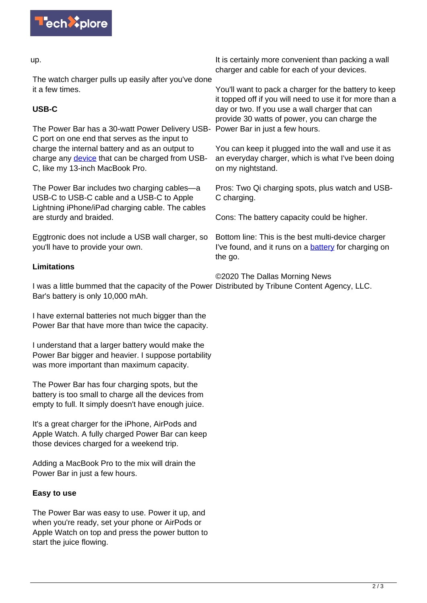

#### up.

The watch charger pulls up easily after you've done it a few times.

## **USB-C**

The Power Bar has a 30-watt Power Delivery USB-Power Bar in just a few hours. C port on one end that serves as the input to charge the internal battery and as an output to charge any [device](https://techxplore.com/tags/device/) that can be charged from USB-C, like my 13-inch MacBook Pro.

The Power Bar includes two charging cables—a USB-C to USB-C cable and a USB-C to Apple Lightning iPhone/iPad charging cable. The cables are sturdy and braided.

Eggtronic does not include a USB wall charger, so you'll have to provide your own.

### **Limitations**

I was a little bummed that the capacity of the Power Distributed by Tribune Content Agency, LLC. Bar's battery is only 10,000 mAh.

I have external batteries not much bigger than the Power Bar that have more than twice the capacity.

I understand that a larger battery would make the Power Bar bigger and heavier. I suppose portability was more important than maximum capacity.

The Power Bar has four charging spots, but the battery is too small to charge all the devices from empty to full. It simply doesn't have enough juice.

It's a great charger for the iPhone, AirPods and Apple Watch. A fully charged Power Bar can keep those devices charged for a weekend trip.

Adding a MacBook Pro to the mix will drain the Power Bar in just a few hours.

#### **Easy to use**

The Power Bar was easy to use. Power it up, and when you're ready, set your phone or AirPods or Apple Watch on top and press the power button to start the juice flowing.

It is certainly more convenient than packing a wall charger and cable for each of your devices.

You'll want to pack a charger for the battery to keep it topped off if you will need to use it for more than a day or two. If you use a wall charger that can provide 30 watts of power, you can charge the

You can keep it plugged into the wall and use it as an everyday charger, which is what I've been doing on my nightstand.

Pros: Two Qi charging spots, plus watch and USB-C charging.

Cons: The battery capacity could be higher.

Bottom line: This is the best multi-device charger I've found, and it runs on a [battery](https://techxplore.com/tags/battery/) for charging on the go.

©2020 The Dallas Morning News